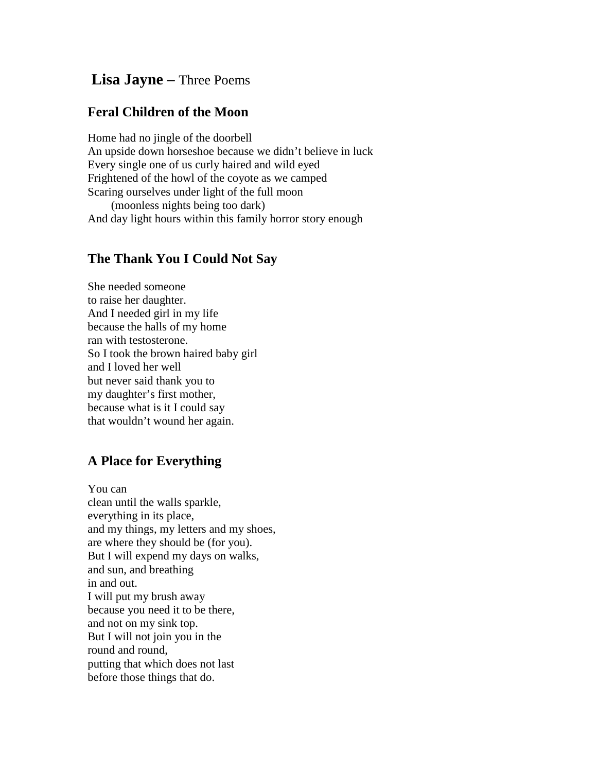## **Lisa Jayne –** Three Poems

## **Feral Children of the Moon**

Home had no jingle of the doorbell An upside down horseshoe because we didn't believe in luck Every single one of us curly haired and wild eyed Frightened of the howl of the coyote as we camped Scaring ourselves under light of the full moon (moonless nights being too dark)

And day light hours within this family horror story enough

## **The Thank You I Could Not Say**

She needed someone to raise her daughter. And I needed girl in my life because the halls of my home ran with testosterone. So I took the brown haired baby girl and I loved her well but never said thank you to my daughter's first mother, because what is it I could say that wouldn't wound her again.

## **A Place for Everything**

You can clean until the walls sparkle, everything in its place, and my things, my letters and my shoes, are where they should be (for you). But I will expend my days on walks, and sun, and breathing in and out. I will put my brush away because you need it to be there, and not on my sink top. But I will not join you in the round and round, putting that which does not last before those things that do.